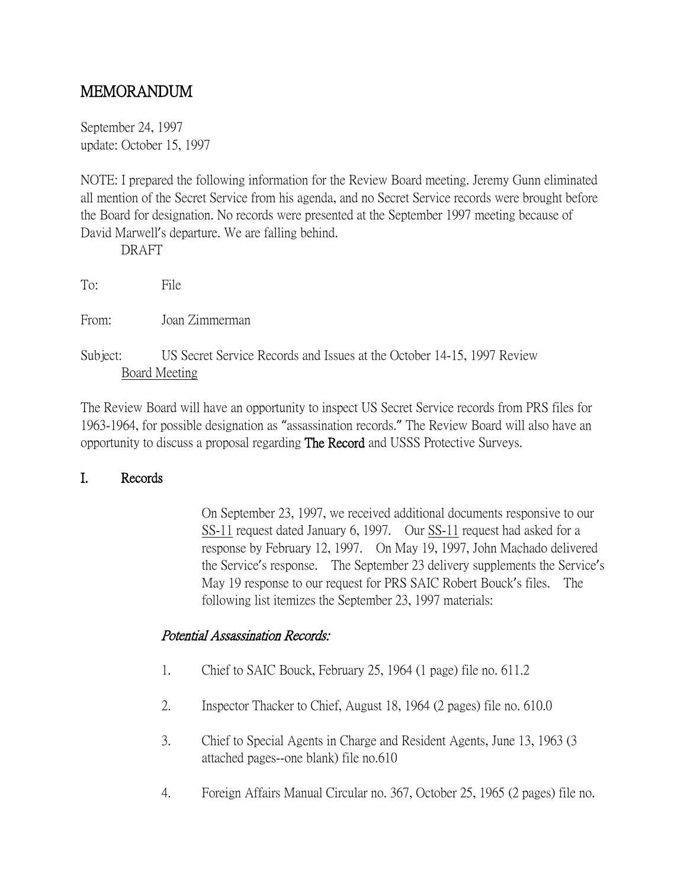# MEMORANDUM

September 24, 1997 update: October 15, 1997

NOTE: I prepared the following information for the Review Board meeting. Jeremy Gunn eliminated all mention of the Secret Service from his agenda, and no Secret Service records were brought before the Board for designation. No records were presented at the September 1997 meeting because of David Marwell's departure. We are falling behind.

DRAFT

To: File

From: Joan Zimmerman

Subject: US Secret Service Records and Issues at the October 14-15, 1997 Review Board Meeting

The Review Board will have an opportunity to inspect US Secret Service records from PRS files for 1963-1964, for possible designation as "assassination records." The Review Board will also have an opportunity to discuss a proposal regarding The Record and USSS Protective Surveys.

## I. Records

On September 23, 1997, we received additional documents responsive to our SS-11 request dated January 6, 1997. Our SS-11 request had asked for a response by February 12, 1997. On May 19, 1997, John Machado delivered the Service's response. The September 23 delivery supplements the Service's May 19 response to our request for PRS SAIC Robert Bouck's files. The following list itemizes the September 23, 1997 materials:

## Potential Assassination Records:

- 1. Chief to SAIC Bouck, February 25, 1964 (1 page) file no. 611.2
- 2. Inspector Thacker to Chief, August 18, 1964 (2 pages) file no. 610.0
- 3. Chief to Special Agents in Charge and Resident Agents, June 13, 1963 (3 attached pages--one blank) file no.610
- 4. Foreign Affairs Manual Circular no. 367, October 25, 1965 (2 pages) file no.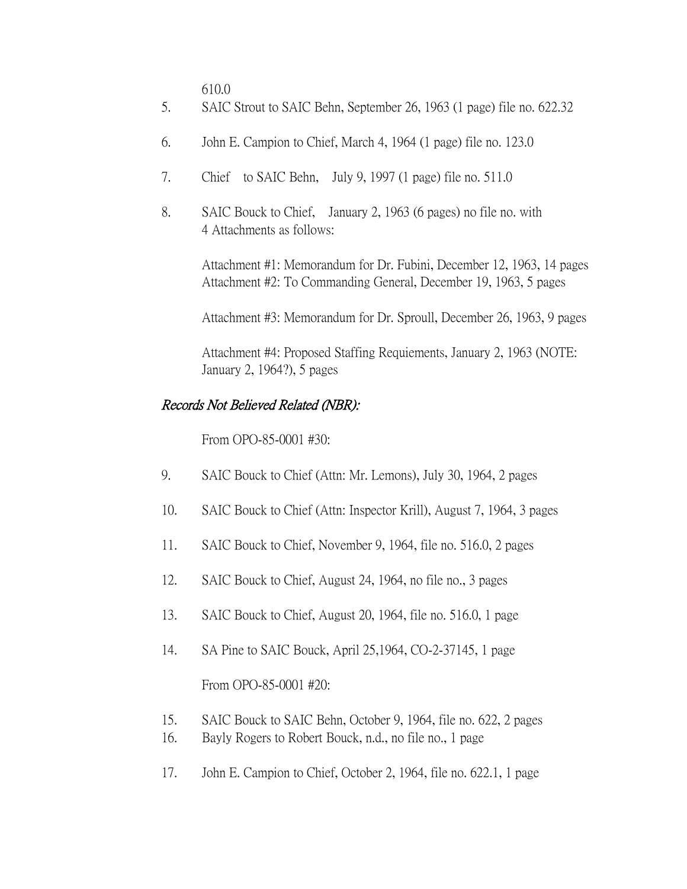610.0

- 5. SAIC Strout to SAIC Behn, September 26, 1963 (1 page) file no. 622.32
- 6. John E. Campion to Chief, March 4, 1964 (1 page) file no. 123.0
- 7. Chief to SAIC Behn, July 9, 1997 (1 page) file no. 511.0
- 8. SAIC Bouck to Chief, January 2, 1963 (6 pages) no file no. with 4 Attachments as follows:

Attachment #1: Memorandum for Dr. Fubini, December 12, 1963, 14 pages Attachment #2: To Commanding General, December 19, 1963, 5 pages

Attachment #3: Memorandum for Dr. Sproull, December 26, 1963, 9 pages

Attachment #4: Proposed Staffing Requiements, January 2, 1963 (NOTE: January 2, 1964?), 5 pages

## Records Not Believed Related (NBR):

From OPO-85-0001 #30:

- 9. SAIC Bouck to Chief (Attn: Mr. Lemons), July 30, 1964, 2 pages
- 10. SAIC Bouck to Chief (Attn: Inspector Krill), August 7, 1964, 3 pages
- 11. SAIC Bouck to Chief, November 9, 1964, file no. 516.0, 2 pages
- 12. SAIC Bouck to Chief, August 24, 1964, no file no., 3 pages
- 13. SAIC Bouck to Chief, August 20, 1964, file no. 516.0, 1 page
- 14. SA Pine to SAIC Bouck, April 25,1964, CO-2-37145, 1 page

From OPO-85-0001 #20:

- 15. SAIC Bouck to SAIC Behn, October 9, 1964, file no. 622, 2 pages
- 16. Bayly Rogers to Robert Bouck, n.d., no file no., 1 page
- 17. John E. Campion to Chief, October 2, 1964, file no. 622.1, 1 page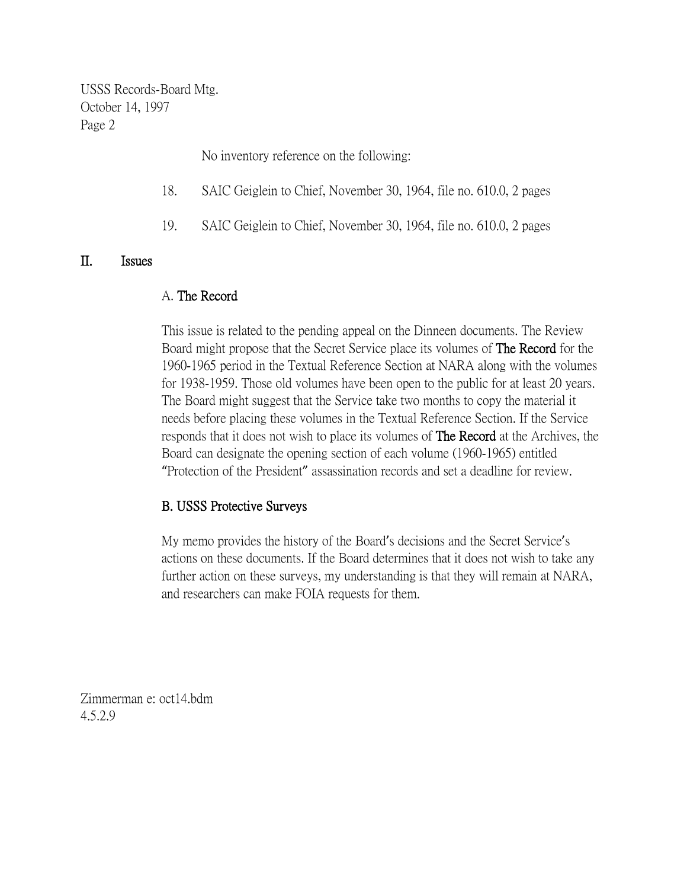USSS Records-Board Mtg. October 14, 1997 Page 2

No inventory reference on the following:

- 18. SAIC Geiglein to Chief, November 30, 1964, file no. 610.0, 2 pages
- 19. SAIC Geiglein to Chief, November 30, 1964, file no. 610.0, 2 pages

#### II. Issues

#### A. The Record

This issue is related to the pending appeal on the Dinneen documents. The Review Board might propose that the Secret Service place its volumes of The Record for the 1960-1965 period in the Textual Reference Section at NARA along with the volumes for 1938-1959. Those old volumes have been open to the public for at least 20 years. The Board might suggest that the Service take two months to copy the material it needs before placing these volumes in the Textual Reference Section. If the Service responds that it does not wish to place its volumes of The Record at the Archives, the Board can designate the opening section of each volume (1960-1965) entitled "Protection of the President" assassination records and set a deadline for review.

### B. USSS Protective Surveys

My memo provides the history of the Board's decisions and the Secret Service's actions on these documents. If the Board determines that it does not wish to take any further action on these surveys, my understanding is that they will remain at NARA, and researchers can make FOIA requests for them.

Zimmerman e: oct14.bdm 4.5.2.9